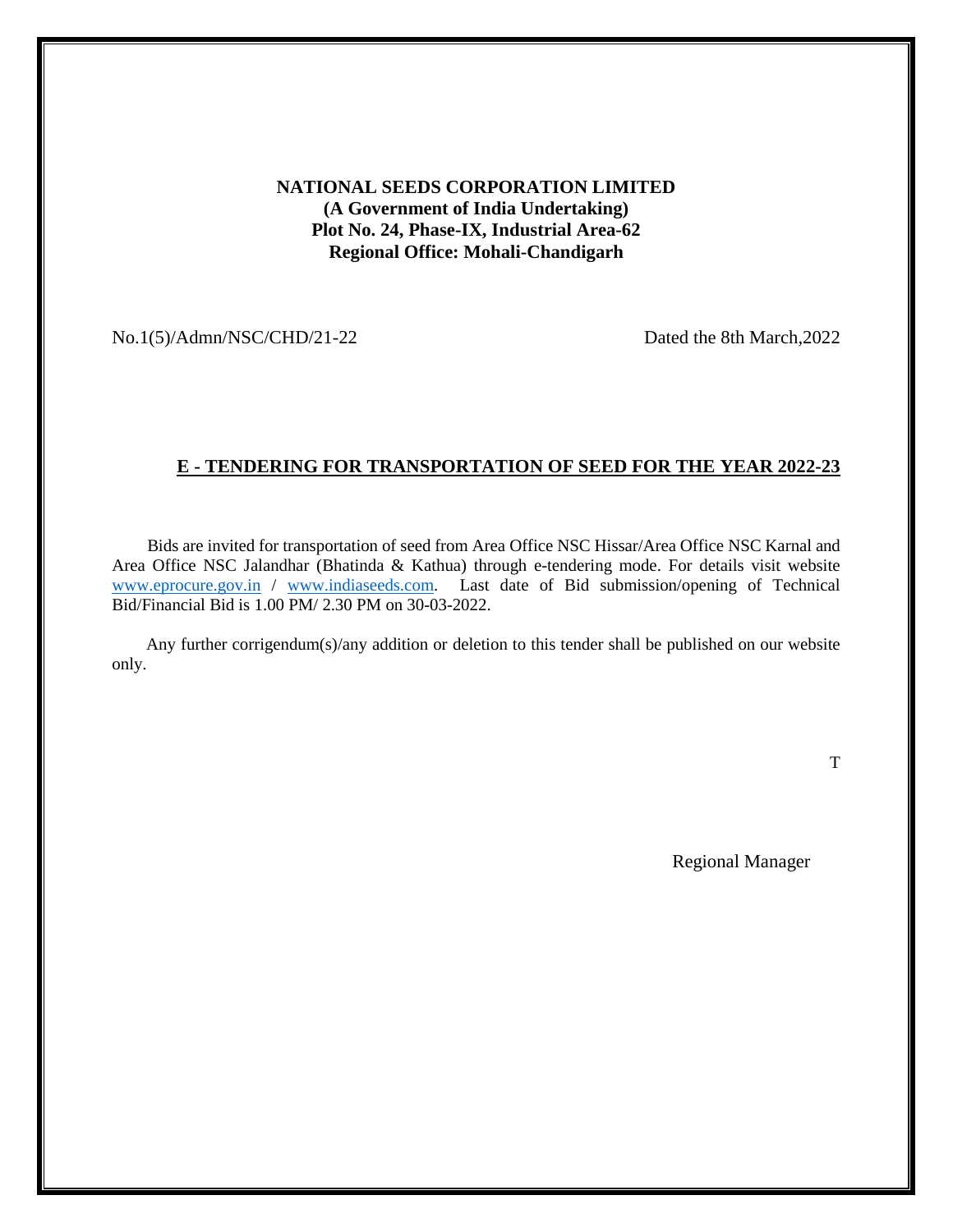### **NATIONAL SEEDS CORPORATION LIMITED (A Government of India Undertaking) Plot No. 24, Phase-IX, Industrial Area-62 Regional Office: Mohali-Chandigarh**

No.1(5)/Admn/NSC/CHD/21-22 Dated the 8th March,2022

### **E - TENDERING FOR TRANSPORTATION OF SEED FOR THE YEAR 2022-23**

 Bids are invited for transportation of seed from Area Office NSC Hissar/Area Office NSC Karnal and Area Office NSC Jalandhar (Bhatinda & Kathua) through e-tendering mode. For details visit website [www.eprocure.gov.in](http://www.eprocure.gov.in/) / [www.indiaseeds.com.](http://www.indiaseeds.com/) Last date of Bid submission/opening of Technical Bid/Financial Bid is 1.00 PM/ 2.30 PM on 30-03-2022.

 Any further corrigendum(s)/any addition or deletion to this tender shall be published on our website only.

T

Regional Manager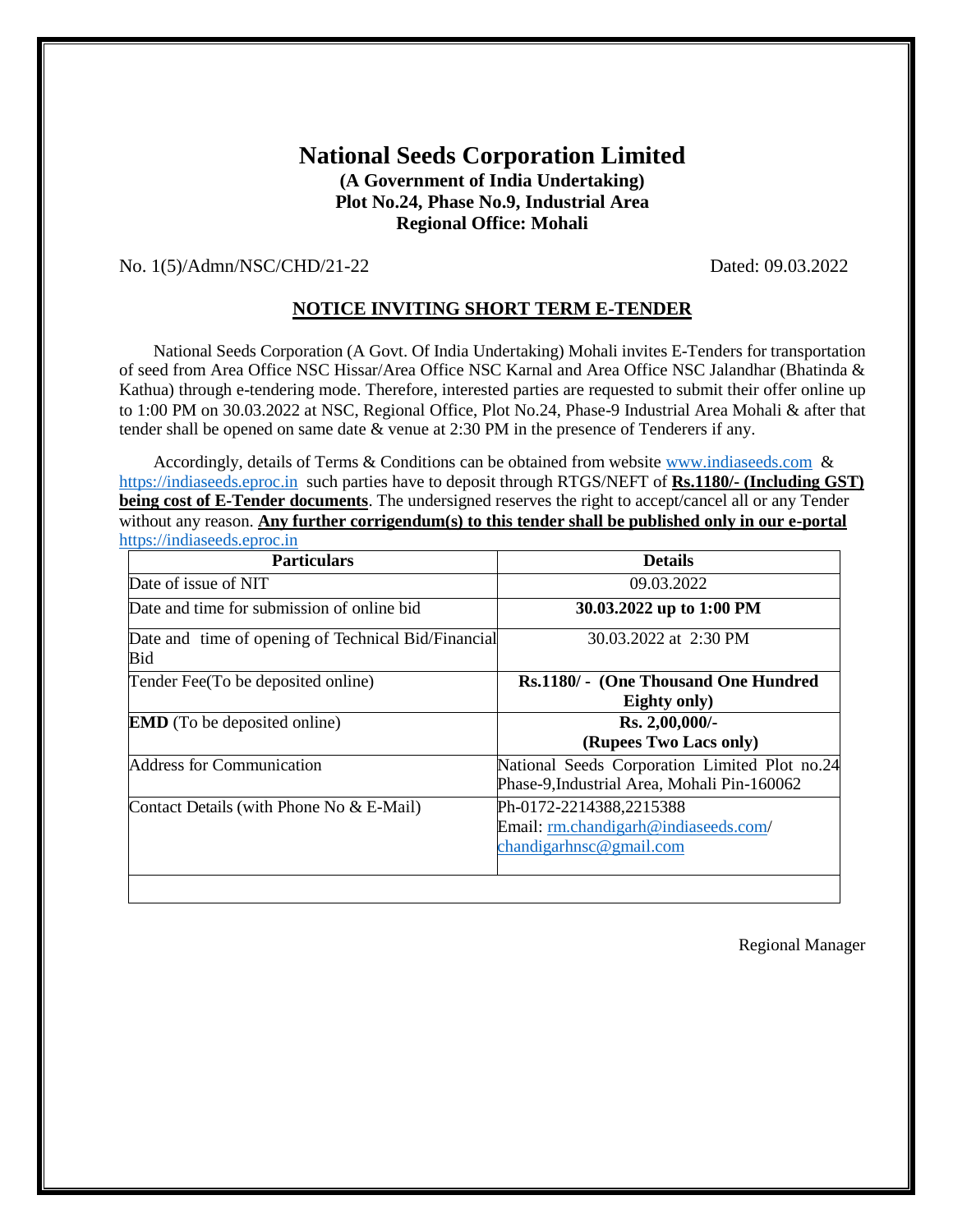## **National Seeds Corporation Limited (A Government of India Undertaking) Plot No.24, Phase No.9, Industrial Area Regional Office: Mohali**

### No. 1(5)/Admn/NSC/CHD/21-22 Dated: 09.03.2022

### **NOTICE INVITING SHORT TERM E-TENDER**

 National Seeds Corporation (A Govt. Of India Undertaking) Mohali invites E-Tenders for transportation of seed from Area Office NSC Hissar/Area Office NSC Karnal and Area Office NSC Jalandhar (Bhatinda & Kathua) through e-tendering mode. Therefore, interested parties are requested to submit their offer online up to 1:00 PM on 30.03.2022 at NSC, Regional Office, Plot No.24, Phase-9 Industrial Area Mohali & after that tender shall be opened on same date & venue at 2:30 PM in the presence of Tenderers if any.

Accordingly, details of Terms & Conditions can be obtained from website [www.indiaseeds.com](http://www.indiaseeds.com/) & [https://indiaseeds.eproc.in](https://indiaseeds.eproc.in/) such parties have to deposit through RTGS/NEFT of **Rs.1180/- (Including GST) being cost of E-Tender documents**. The undersigned reserves the right to accept/cancel all or any Tender without any reason. **Any further corrigendum(s) to this tender shall be published only in our e-portal**  [https://indiaseeds.eproc.in](https://indiaseeds.eproc.in/)

| <b>Details</b>                                                                               |
|----------------------------------------------------------------------------------------------|
| 09.03.2022                                                                                   |
| 30.03.2022 up to 1:00 PM                                                                     |
| 30.03.2022 at 2:30 PM<br>Date and time of opening of Technical Bid/Financial                 |
| Rs.1180/ - (One Thousand One Hundred<br>Eighty only)                                         |
| Rs. 2,00,000/-<br>(Rupees Two Lacs only)                                                     |
| National Seeds Corporation Limited Plot no.24<br>Phase-9, Industrial Area, Mohali Pin-160062 |
| Ph-0172-2214388,2215388<br>Email: rm.chandigarh@indiaseeds.com/<br>chandigarhnsc@gmail.com   |
|                                                                                              |

Regional Manager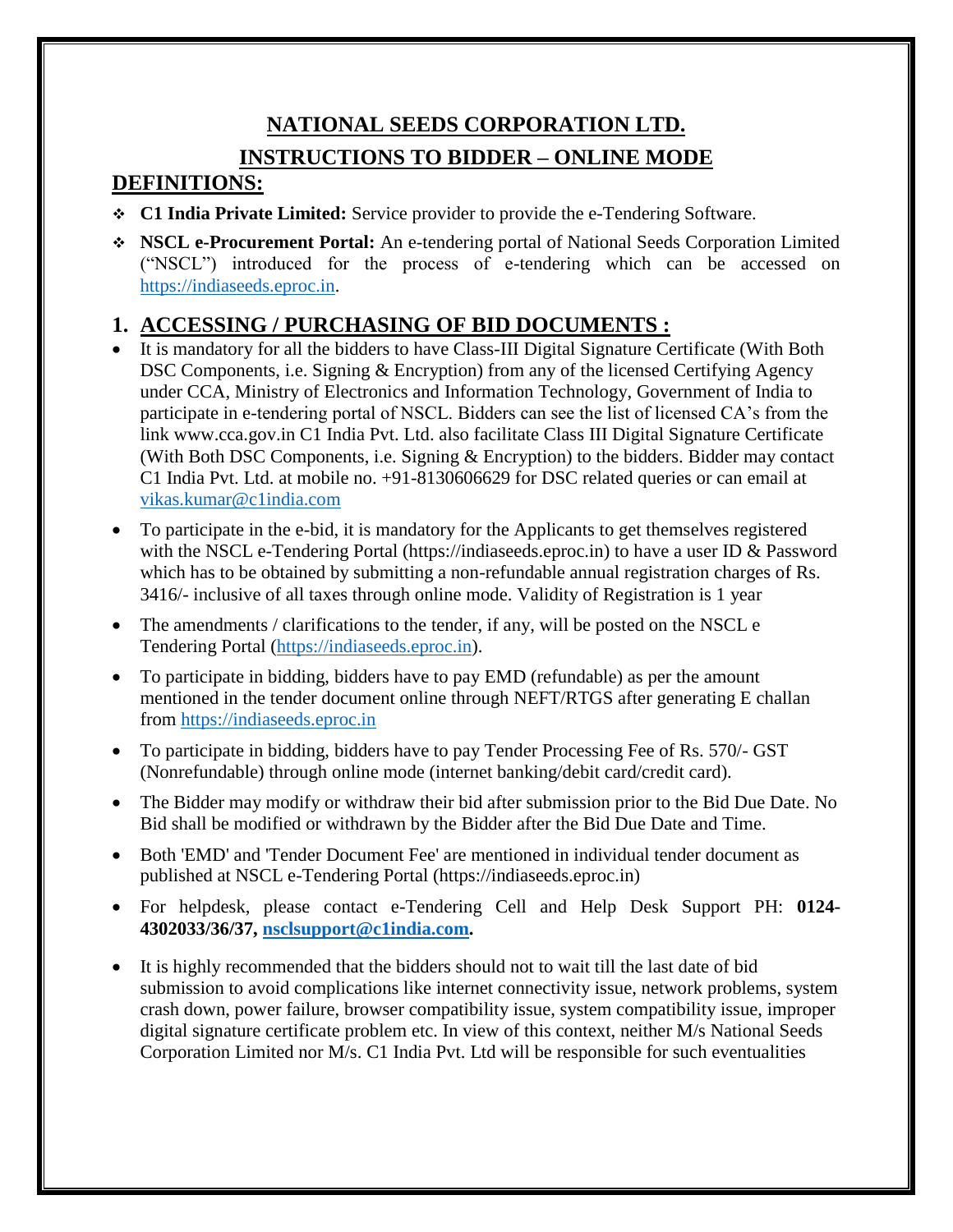# **NATIONAL SEEDS CORPORATION LTD. INSTRUCTIONS TO BIDDER – ONLINE MODE**

# **DEFINITIONS:**

- **C1 India Private Limited:** Service provider to provide the e-Tendering Software.
- **NSCL e-Procurement Portal:** An e-tendering portal of National Seeds Corporation Limited ("NSCL") introduced for the process of e-tendering which can be accessed on [https://indiaseeds.eproc.in.](https://indiaseeds.eproc.in/)

# **1. ACCESSING / PURCHASING OF BID DOCUMENTS :**

- It is mandatory for all the bidders to have Class-III Digital Signature Certificate (With Both DSC Components, i.e. Signing & Encryption) from any of the licensed Certifying Agency under CCA, Ministry of Electronics and Information Technology, Government of India to participate in e-tendering portal of NSCL. Bidders can see the list of licensed CA's from the link www.cca.gov.in C1 India Pvt. Ltd. also facilitate Class III Digital Signature Certificate (With Both DSC Components, i.e. Signing & Encryption) to the bidders. Bidder may contact C1 India Pvt. Ltd. at mobile no. +91-8130606629 for DSC related queries or can email at [vikas.kumar@c1india.com](mailto:vikas.kumar@c1india.com)
- To participate in the e-bid, it is mandatory for the Applicants to get themselves registered with the NSCL e-Tendering Portal (https://indiaseeds.eproc.in) to have a user ID & Password which has to be obtained by submitting a non-refundable annual registration charges of Rs. 3416/- inclusive of all taxes through online mode. Validity of Registration is 1 year
- The amendments / clarifications to the tender, if any, will be posted on the NSCL e Tendering Portal [\(https://indiaseeds.eproc.in\)](https://indiaseeds.eproc.in/).
- To participate in bidding, bidders have to pay EMD (refundable) as per the amount mentioned in the tender document online through NEFT/RTGS after generating E challan from [https://indiaseeds.eproc.in](https://indiaseeds.eproc.in/)
- To participate in bidding, bidders have to pay Tender Processing Fee of Rs. 570/- GST (Nonrefundable) through online mode (internet banking/debit card/credit card).
- The Bidder may modify or withdraw their bid after submission prior to the Bid Due Date. No Bid shall be modified or withdrawn by the Bidder after the Bid Due Date and Time.
- Both 'EMD' and 'Tender Document Fee' are mentioned in individual tender document as published at NSCL e-Tendering Portal (https://indiaseeds.eproc.in)
- For helpdesk, please contact e-Tendering Cell and Help Desk Support PH: **0124- 4302033/36/37, [nsclsupport@c1india.com.](mailto:nsclsupport@c1india.com)**
- It is highly recommended that the bidders should not to wait till the last date of bid submission to avoid complications like internet connectivity issue, network problems, system crash down, power failure, browser compatibility issue, system compatibility issue, improper digital signature certificate problem etc. In view of this context, neither M/s National Seeds Corporation Limited nor M/s. C1 India Pvt. Ltd will be responsible for such eventualities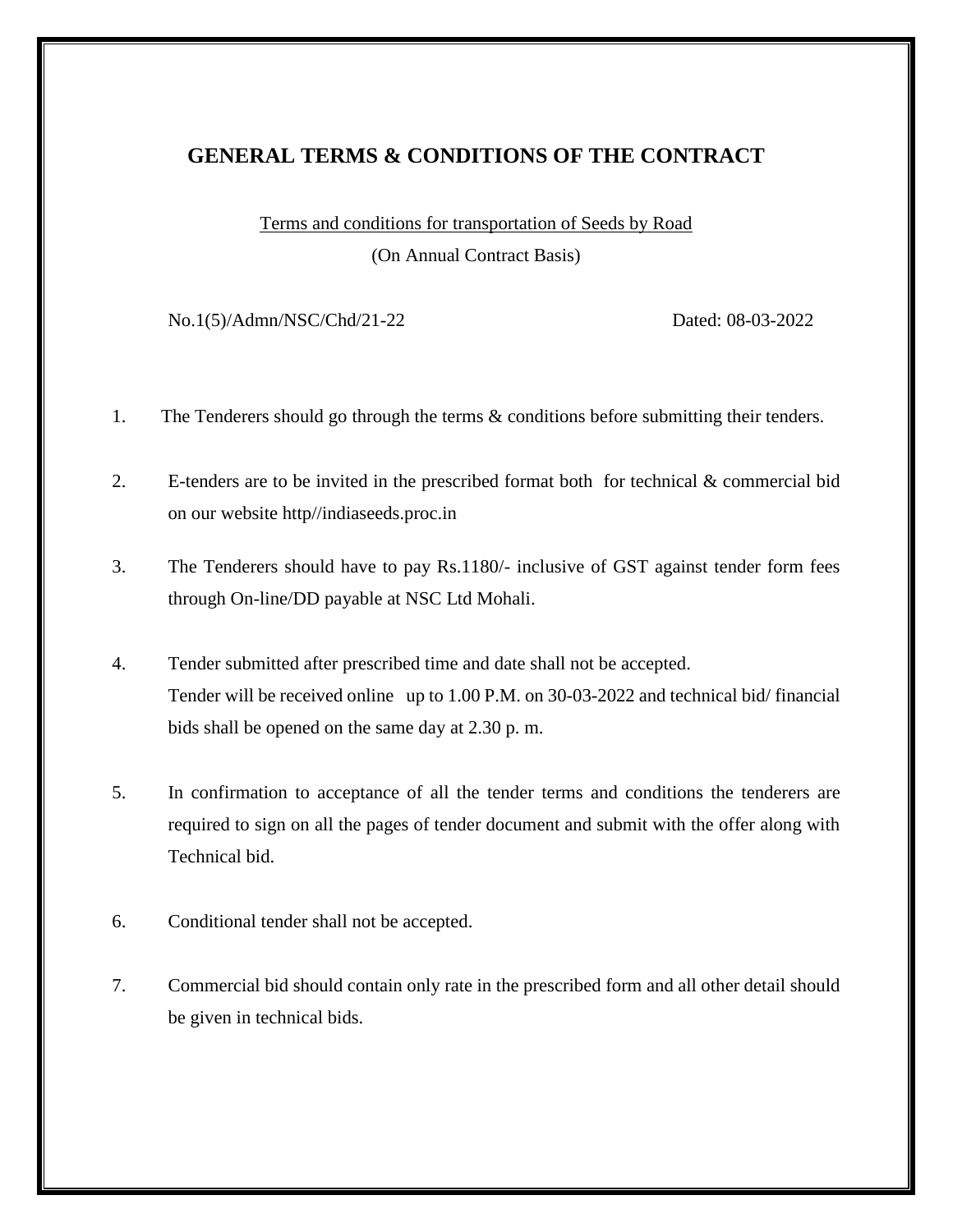# **GENERAL TERMS & CONDITIONS OF THE CONTRACT**

Terms and conditions for transportation of Seeds by Road

(On Annual Contract Basis)

No.1(5)/Admn/NSC/Chd/21-22 Dated: 08-03-2022

1. The Tenderers should go through the terms & conditions before submitting their tenders.

2. E-tenders are to be invited in the prescribed format both for technical & commercial bid on our website http//indiaseeds.proc.in

- 3. The Tenderers should have to pay Rs.1180/- inclusive of GST against tender form fees through On-line/DD payable at NSC Ltd Mohali.
- 4. Tender submitted after prescribed time and date shall not be accepted. Tender will be received online up to 1.00 P.M. on 30-03-2022 and technical bid/ financial bids shall be opened on the same day at 2.30 p. m.
- 5. In confirmation to acceptance of all the tender terms and conditions the tenderers are required to sign on all the pages of tender document and submit with the offer along with Technical bid.
- 6. Conditional tender shall not be accepted.
- 7. Commercial bid should contain only rate in the prescribed form and all other detail should be given in technical bids.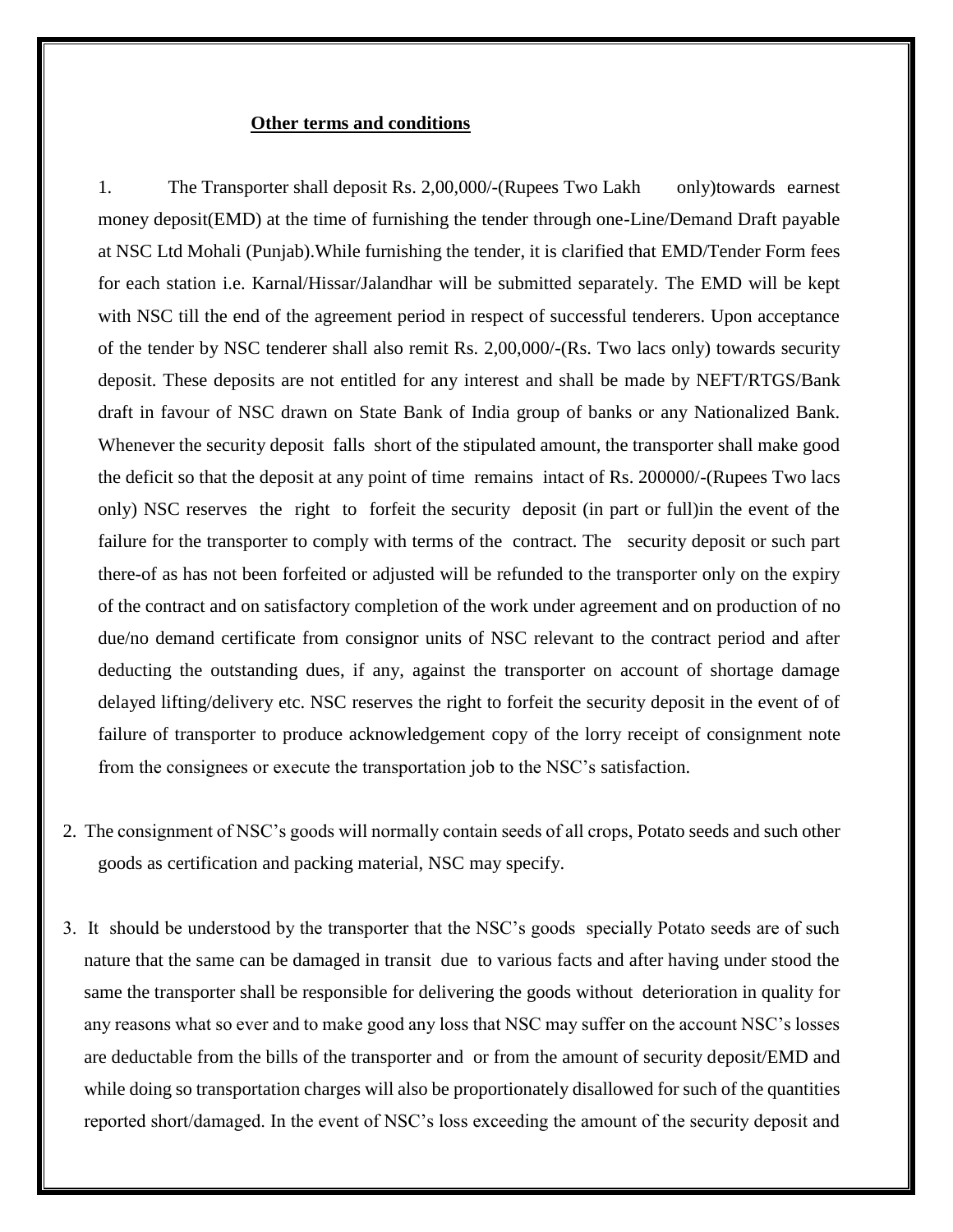### **Other terms and conditions**

1. The Transporter shall deposit Rs. 2,00,000/-(Rupees Two Lakh only)towards earnest money deposit(EMD) at the time of furnishing the tender through one-Line/Demand Draft payable at NSC Ltd Mohali (Punjab).While furnishing the tender, it is clarified that EMD/Tender Form fees for each station i.e. Karnal/Hissar/Jalandhar will be submitted separately. The EMD will be kept with NSC till the end of the agreement period in respect of successful tenderers. Upon acceptance of the tender by NSC tenderer shall also remit Rs. 2,00,000/-(Rs. Two lacs only) towards security deposit. These deposits are not entitled for any interest and shall be made by NEFT/RTGS/Bank draft in favour of NSC drawn on State Bank of India group of banks or any Nationalized Bank. Whenever the security deposit falls short of the stipulated amount, the transporter shall make good the deficit so that the deposit at any point of time remains intact of Rs. 200000/-(Rupees Two lacs only) NSC reserves the right to forfeit the security deposit (in part or full)in the event of the failure for the transporter to comply with terms of the contract. The security deposit or such part there-of as has not been forfeited or adjusted will be refunded to the transporter only on the expiry of the contract and on satisfactory completion of the work under agreement and on production of no due/no demand certificate from consignor units of NSC relevant to the contract period and after deducting the outstanding dues, if any, against the transporter on account of shortage damage delayed lifting/delivery etc. NSC reserves the right to forfeit the security deposit in the event of of failure of transporter to produce acknowledgement copy of the lorry receipt of consignment note from the consignees or execute the transportation job to the NSC's satisfaction.

- 2. The consignment of NSC's goods will normally contain seeds of all crops, Potato seeds and such other goods as certification and packing material, NSC may specify.
- 3. It should be understood by the transporter that the NSC's goods specially Potato seeds are of such nature that the same can be damaged in transit due to various facts and after having under stood the same the transporter shall be responsible for delivering the goods without deterioration in quality for any reasons what so ever and to make good any loss that NSC may suffer on the account NSC's losses are deductable from the bills of the transporter and or from the amount of security deposit/EMD and while doing so transportation charges will also be proportionately disallowed for such of the quantities reported short/damaged. In the event of NSC's loss exceeding the amount of the security deposit and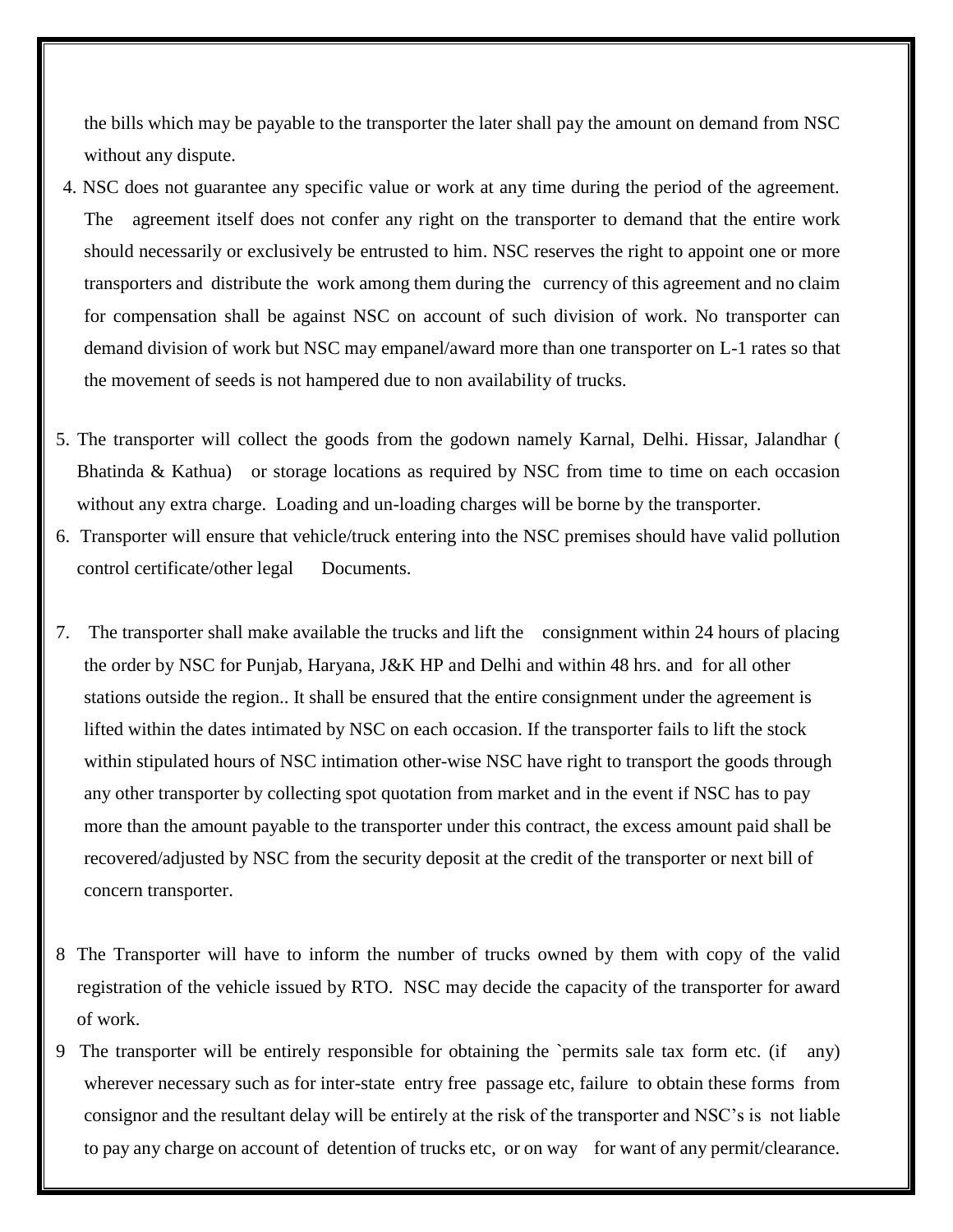the bills which may be payable to the transporter the later shall pay the amount on demand from NSC without any dispute.

- 4. NSC does not guarantee any specific value or work at any time during the period of the agreement. The agreement itself does not confer any right on the transporter to demand that the entire work should necessarily or exclusively be entrusted to him. NSC reserves the right to appoint one or more transporters and distribute the work among them during the currency of this agreement and no claim for compensation shall be against NSC on account of such division of work. No transporter can demand division of work but NSC may empanel/award more than one transporter on L-1 rates so that the movement of seeds is not hampered due to non availability of trucks.
- 5. The transporter will collect the goods from the godown namely Karnal, Delhi. Hissar, Jalandhar ( Bhatinda & Kathua) or storage locations as required by NSC from time to time on each occasion without any extra charge. Loading and un-loading charges will be borne by the transporter.
- 6. Transporter will ensure that vehicle/truck entering into the NSC premises should have valid pollution control certificate/other legal Documents.
- 7. The transporter shall make available the trucks and lift the consignment within 24 hours of placing the order by NSC for Punjab, Haryana, J&K HP and Delhi and within 48 hrs. and for all other stations outside the region.. It shall be ensured that the entire consignment under the agreement is lifted within the dates intimated by NSC on each occasion. If the transporter fails to lift the stock within stipulated hours of NSC intimation other-wise NSC have right to transport the goods through any other transporter by collecting spot quotation from market and in the event if NSC has to pay more than the amount payable to the transporter under this contract, the excess amount paid shall be recovered/adjusted by NSC from the security deposit at the credit of the transporter or next bill of concern transporter.
- 8 The Transporter will have to inform the number of trucks owned by them with copy of the valid registration of the vehicle issued by RTO. NSC may decide the capacity of the transporter for award of work.
- 9 The transporter will be entirely responsible for obtaining the `permits sale tax form etc. (if any) wherever necessary such as for inter-state entry free passage etc, failure to obtain these forms from consignor and the resultant delay will be entirely at the risk of the transporter and NSC's is not liable to pay any charge on account of detention of trucks etc, or on way for want of any permit/clearance.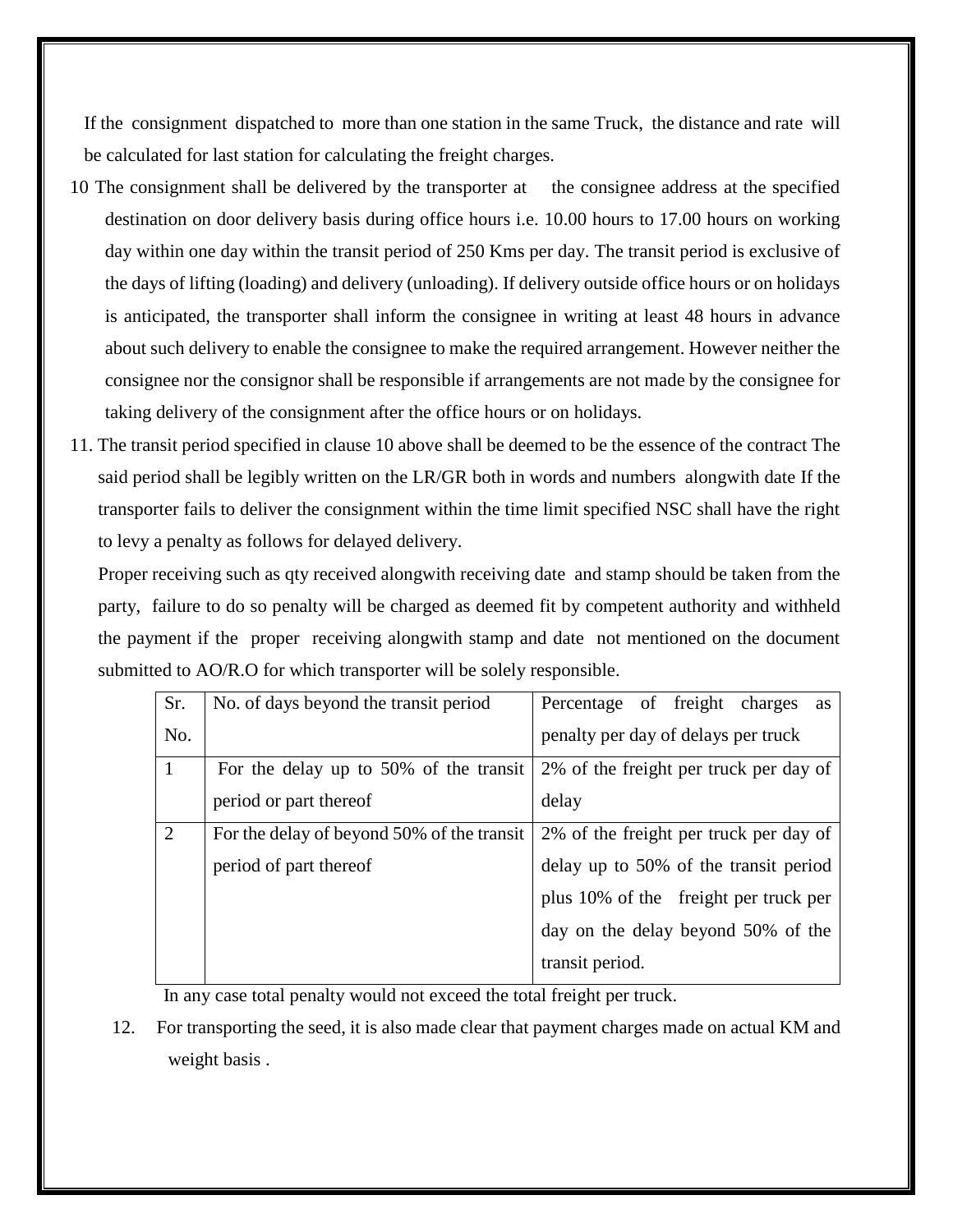If the consignment dispatched to more than one station in the same Truck, the distance and rate will be calculated for last station for calculating the freight charges.

- 10 The consignment shall be delivered by the transporter at the consignee address at the specified destination on door delivery basis during office hours i.e. 10.00 hours to 17.00 hours on working day within one day within the transit period of 250 Kms per day. The transit period is exclusive of the days of lifting (loading) and delivery (unloading). If delivery outside office hours or on holidays is anticipated, the transporter shall inform the consignee in writing at least 48 hours in advance about such delivery to enable the consignee to make the required arrangement. However neither the consignee nor the consignor shall be responsible if arrangements are not made by the consignee for taking delivery of the consignment after the office hours or on holidays.
- 11. The transit period specified in clause 10 above shall be deemed to be the essence of the contract The said period shall be legibly written on the LR/GR both in words and numbers alongwith date If the transporter fails to deliver the consignment within the time limit specified NSC shall have the right to levy a penalty as follows for delayed delivery.

Proper receiving such as qty received alongwith receiving date and stamp should be taken from the party, failure to do so penalty will be charged as deemed fit by competent authority and withheld the payment if the proper receiving alongwith stamp and date not mentioned on the document submitted to AO/R.O for which transporter will be solely responsible.

| Sr.            | No. of days beyond the transit period      | Percentage of freight<br>charges<br>as |  |  |  |  |
|----------------|--------------------------------------------|----------------------------------------|--|--|--|--|
| No.            |                                            | penalty per day of delays per truck    |  |  |  |  |
| $\overline{1}$ | For the delay up to 50% of the transit     | 2% of the freight per truck per day of |  |  |  |  |
|                | period or part thereof                     | delay                                  |  |  |  |  |
| 2              | For the delay of beyond 50% of the transit | 2% of the freight per truck per day of |  |  |  |  |
|                | period of part thereof                     | delay up to 50% of the transit period  |  |  |  |  |
|                |                                            | plus 10% of the freight per truck per  |  |  |  |  |
|                |                                            | day on the delay beyond 50% of the     |  |  |  |  |
|                |                                            | transit period.                        |  |  |  |  |

In any case total penalty would not exceed the total freight per truck.

12. For transporting the seed, it is also made clear that payment charges made on actual KM and weight basis .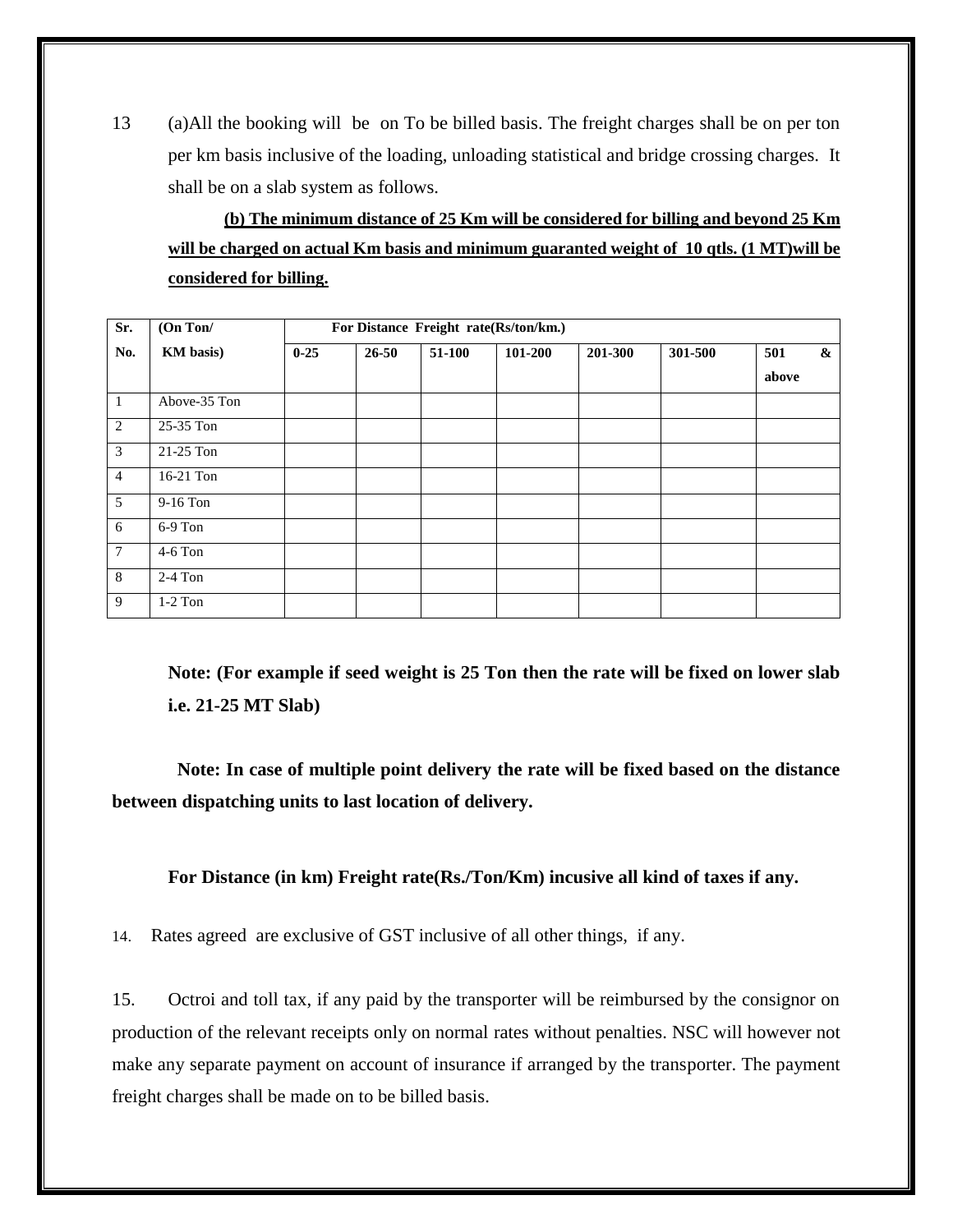13 (a)All the booking will be on To be billed basis. The freight charges shall be on per ton per km basis inclusive of the loading, unloading statistical and bridge crossing charges. It shall be on a slab system as follows.

**(b) The minimum distance of 25 Km will be considered for billing and beyond 25 Km will be charged on actual Km basis and minimum guaranted weight of 10 qtls. (1 MT)will be considered for billing.**

| Sr.             | (On Ton/     | For Distance Freight rate(Rs/ton/km.) |           |        |         |         |         |                   |
|-----------------|--------------|---------------------------------------|-----------|--------|---------|---------|---------|-------------------|
| No.             | KM basis)    | $0 - 25$                              | $26 - 50$ | 51-100 | 101-200 | 201-300 | 301-500 | 501<br>&<br>above |
| $\mathbf{1}$    | Above-35 Ton |                                       |           |        |         |         |         |                   |
| 2               | 25-35 Ton    |                                       |           |        |         |         |         |                   |
| $\mathfrak{Z}$  | 21-25 Ton    |                                       |           |        |         |         |         |                   |
| $\overline{4}$  | 16-21 Ton    |                                       |           |        |         |         |         |                   |
| 5               | $9-16$ Ton   |                                       |           |        |         |         |         |                   |
| 6               | $6-9$ Ton    |                                       |           |        |         |         |         |                   |
| $7\phantom{.0}$ | 4-6 Ton      |                                       |           |        |         |         |         |                   |
| 8               | $2-4$ Ton    |                                       |           |        |         |         |         |                   |
| 9               | $1-2$ Ton    |                                       |           |        |         |         |         |                   |

**Note: (For example if seed weight is 25 Ton then the rate will be fixed on lower slab i.e. 21-25 MT Slab)**

 **Note: In case of multiple point delivery the rate will be fixed based on the distance between dispatching units to last location of delivery.**

**For Distance (in km) Freight rate(Rs./Ton/Km) incusive all kind of taxes if any.**

14. Rates agreed are exclusive of GST inclusive of all other things, if any.

15. Octroi and toll tax, if any paid by the transporter will be reimbursed by the consignor on production of the relevant receipts only on normal rates without penalties. NSC will however not make any separate payment on account of insurance if arranged by the transporter. The payment freight charges shall be made on to be billed basis.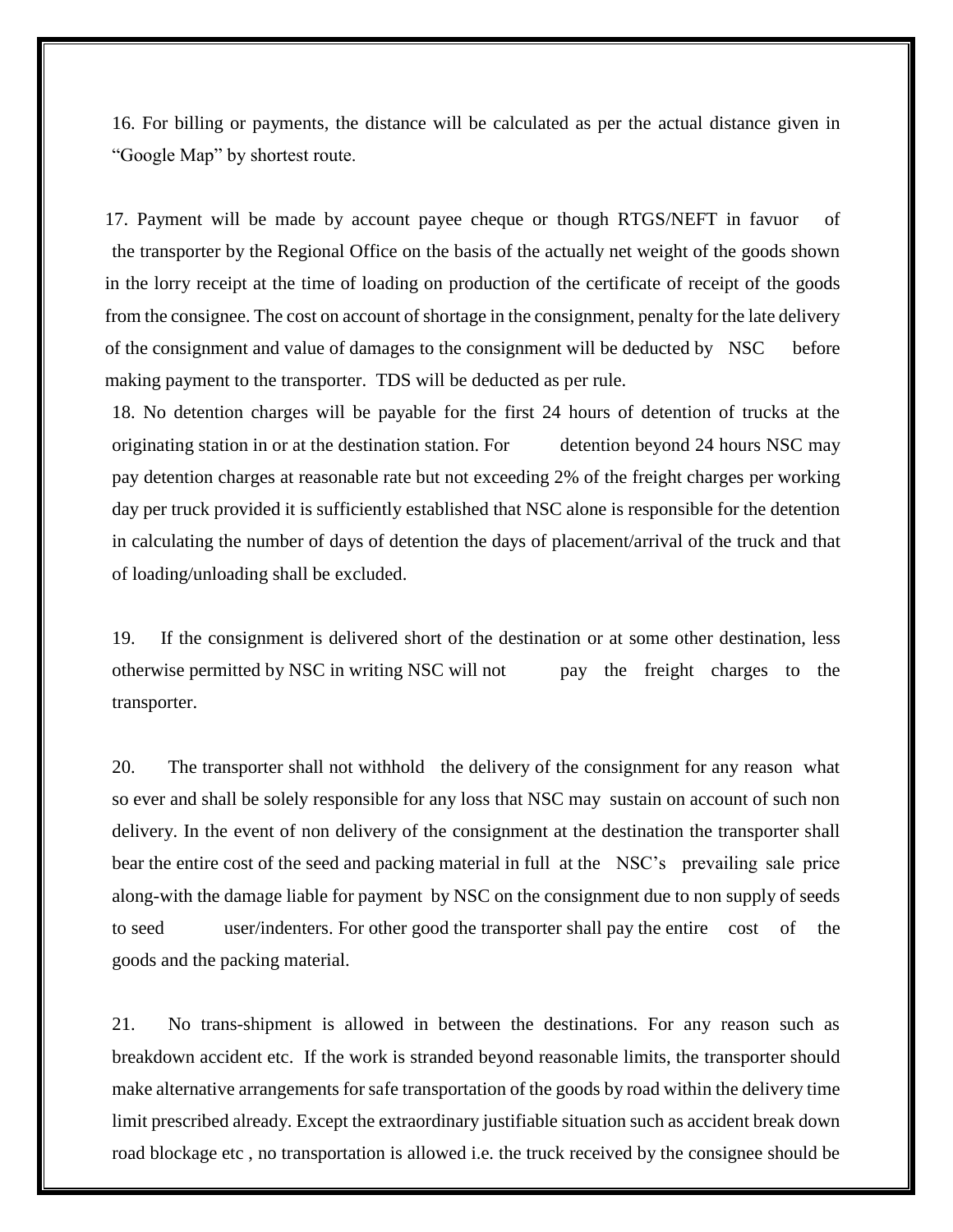16. For billing or payments, the distance will be calculated as per the actual distance given in "Google Map" by shortest route.

17. Payment will be made by account payee cheque or though RTGS/NEFT in favuor of the transporter by the Regional Office on the basis of the actually net weight of the goods shown in the lorry receipt at the time of loading on production of the certificate of receipt of the goods from the consignee. The cost on account of shortage in the consignment, penalty for the late delivery of the consignment and value of damages to the consignment will be deducted by NSC before making payment to the transporter. TDS will be deducted as per rule.

18. No detention charges will be payable for the first 24 hours of detention of trucks at the originating station in or at the destination station. For detention beyond 24 hours NSC may pay detention charges at reasonable rate but not exceeding 2% of the freight charges per working day per truck provided it is sufficiently established that NSC alone is responsible for the detention in calculating the number of days of detention the days of placement/arrival of the truck and that of loading/unloading shall be excluded.

19. If the consignment is delivered short of the destination or at some other destination, less otherwise permitted by NSC in writing NSC will not pay the freight charges to the transporter.

20. The transporter shall not withhold the delivery of the consignment for any reason what so ever and shall be solely responsible for any loss that NSC may sustain on account of such non delivery. In the event of non delivery of the consignment at the destination the transporter shall bear the entire cost of the seed and packing material in full at the NSC's prevailing sale price along-with the damage liable for payment by NSC on the consignment due to non supply of seeds to seed user/indenters. For other good the transporter shall pay the entire cost of the goods and the packing material.

21. No trans-shipment is allowed in between the destinations. For any reason such as breakdown accident etc. If the work is stranded beyond reasonable limits, the transporter should make alternative arrangements for safe transportation of the goods by road within the delivery time limit prescribed already. Except the extraordinary justifiable situation such as accident break down road blockage etc , no transportation is allowed i.e. the truck received by the consignee should be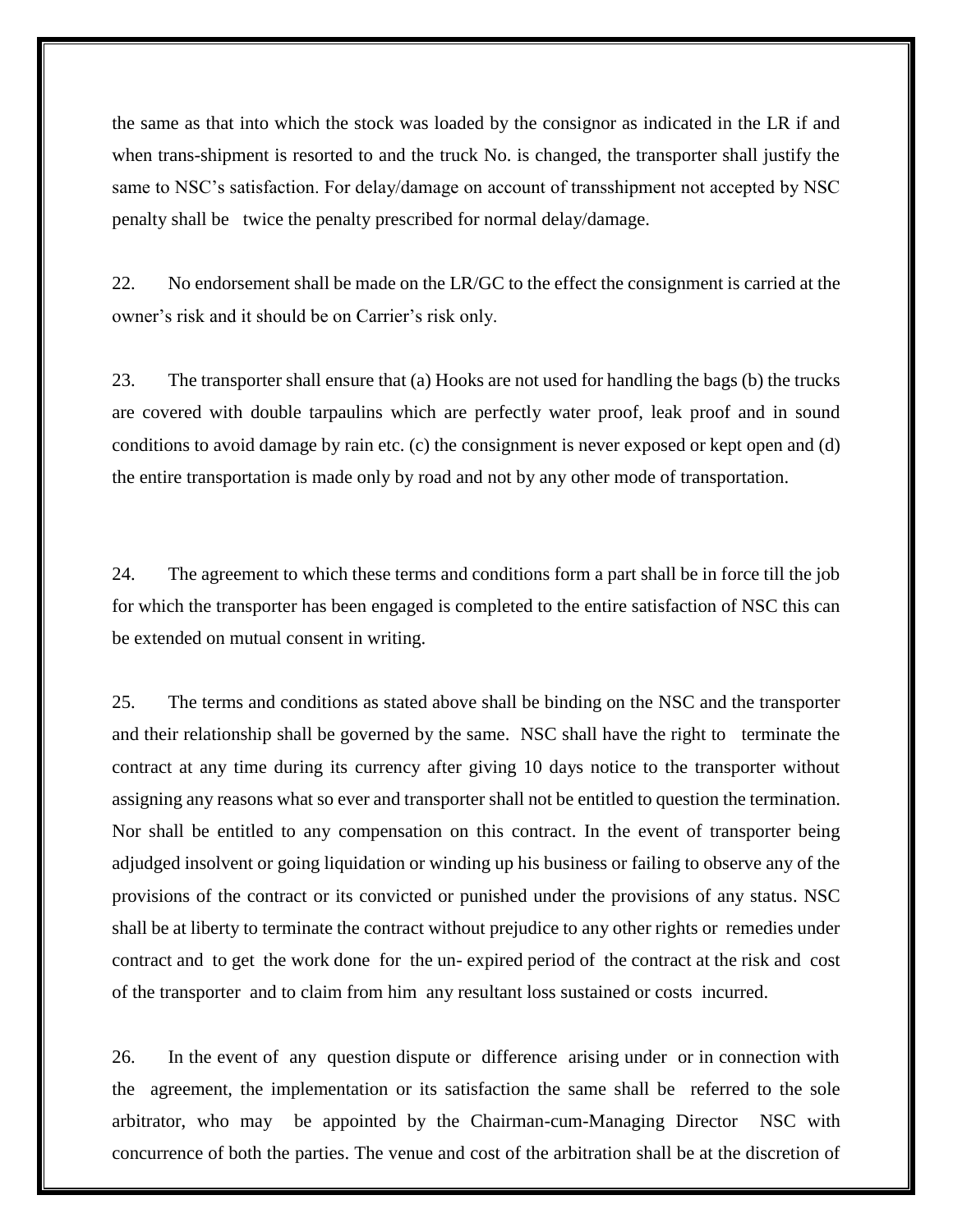the same as that into which the stock was loaded by the consignor as indicated in the LR if and when trans-shipment is resorted to and the truck No. is changed, the transporter shall justify the same to NSC's satisfaction. For delay/damage on account of transshipment not accepted by NSC penalty shall be twice the penalty prescribed for normal delay/damage.

22. No endorsement shall be made on the LR/GC to the effect the consignment is carried at the owner's risk and it should be on Carrier's risk only.

23. The transporter shall ensure that (a) Hooks are not used for handling the bags (b) the trucks are covered with double tarpaulins which are perfectly water proof, leak proof and in sound conditions to avoid damage by rain etc. (c) the consignment is never exposed or kept open and (d) the entire transportation is made only by road and not by any other mode of transportation.

24. The agreement to which these terms and conditions form a part shall be in force till the job for which the transporter has been engaged is completed to the entire satisfaction of NSC this can be extended on mutual consent in writing.

25. The terms and conditions as stated above shall be binding on the NSC and the transporter and their relationship shall be governed by the same. NSC shall have the right to terminate the contract at any time during its currency after giving 10 days notice to the transporter without assigning any reasons what so ever and transporter shall not be entitled to question the termination. Nor shall be entitled to any compensation on this contract. In the event of transporter being adjudged insolvent or going liquidation or winding up his business or failing to observe any of the provisions of the contract or its convicted or punished under the provisions of any status. NSC shall be at liberty to terminate the contract without prejudice to any other rights or remedies under contract and to get the work done for the un- expired period of the contract at the risk and cost of the transporter and to claim from him any resultant loss sustained or costs incurred.

26. In the event of any question dispute or difference arising under or in connection with the agreement, the implementation or its satisfaction the same shall be referred to the sole arbitrator, who may be appointed by the Chairman-cum-Managing Director NSC with concurrence of both the parties. The venue and cost of the arbitration shall be at the discretion of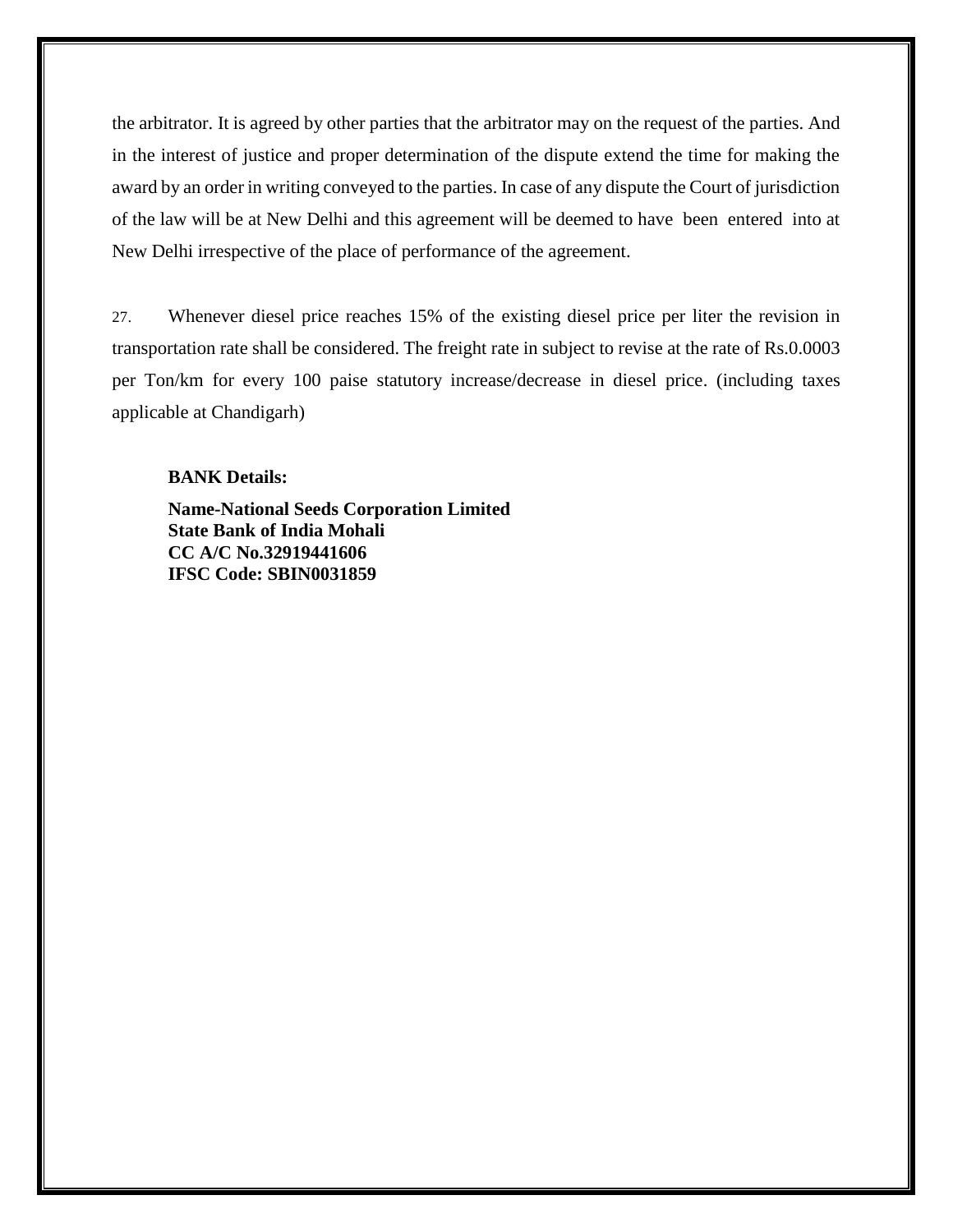the arbitrator. It is agreed by other parties that the arbitrator may on the request of the parties. And in the interest of justice and proper determination of the dispute extend the time for making the award by an order in writing conveyed to the parties. In case of any dispute the Court of jurisdiction of the law will be at New Delhi and this agreement will be deemed to have been entered into at New Delhi irrespective of the place of performance of the agreement.

27. Whenever diesel price reaches 15% of the existing diesel price per liter the revision in transportation rate shall be considered. The freight rate in subject to revise at the rate of Rs.0.0003 per Ton/km for every 100 paise statutory increase/decrease in diesel price. (including taxes applicable at Chandigarh)

#### **BANK Details:**

**Name-National Seeds Corporation Limited State Bank of India Mohali CC A/C No.32919441606 IFSC Code: SBIN0031859**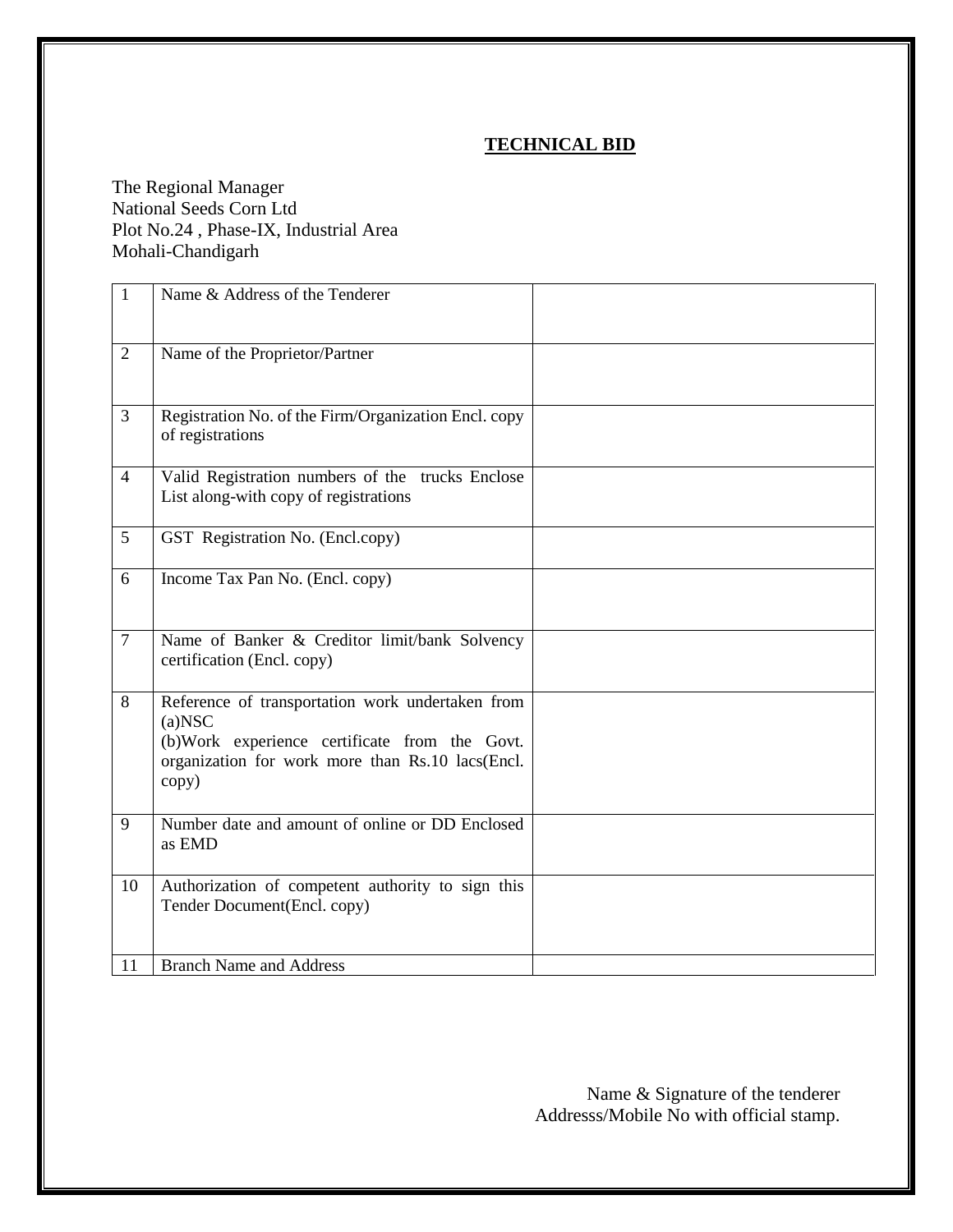### **TECHNICAL BID**

The Regional Manager National Seeds Corn Ltd Plot No.24 , Phase-IX, Industrial Area Mohali-Chandigarh

| $\mathbf{1}$   | Name & Address of the Tenderer                                                                                                                                              |  |
|----------------|-----------------------------------------------------------------------------------------------------------------------------------------------------------------------------|--|
| $\overline{2}$ | Name of the Proprietor/Partner                                                                                                                                              |  |
| 3              | Registration No. of the Firm/Organization Encl. copy<br>of registrations                                                                                                    |  |
| $\overline{4}$ | Valid Registration numbers of the trucks Enclose<br>List along-with copy of registrations                                                                                   |  |
| 5              | GST Registration No. (Encl.copy)                                                                                                                                            |  |
| 6              | Income Tax Pan No. (Encl. copy)                                                                                                                                             |  |
| $\overline{7}$ | Name of Banker & Creditor limit/bank Solvency<br>certification (Encl. copy)                                                                                                 |  |
| 8              | Reference of transportation work undertaken from<br>$(a)$ NSC<br>(b)Work experience certificate from the Govt.<br>organization for work more than Rs.10 lacs(Encl.<br>copy) |  |
| 9              | Number date and amount of online or DD Enclosed<br>as EMD                                                                                                                   |  |
| 10             | Authorization of competent authority to sign this<br>Tender Document(Encl. copy)                                                                                            |  |
| 11             | <b>Branch Name and Address</b>                                                                                                                                              |  |

Name & Signature of the tenderer Addresss/Mobile No with official stamp.